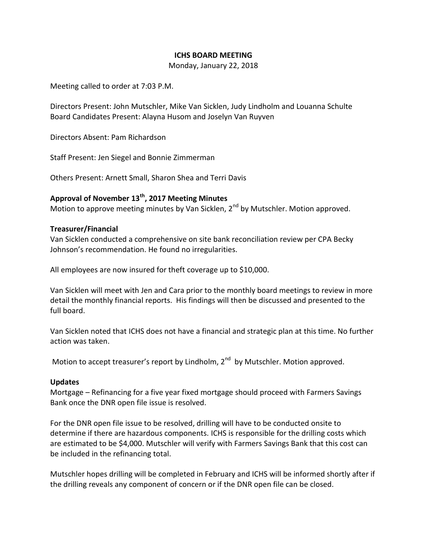# **ICHS BOARD MEETING**

Monday, January 22, 2018

Meeting called to order at 7:03 P.M.

Directors Present: John Mutschler, Mike Van Sicklen, Judy Lindholm and Louanna Schulte Board Candidates Present: Alayna Husom and Joselyn Van Ruyven

Directors Absent: Pam Richardson

Staff Present: Jen Siegel and Bonnie Zimmerman

Others Present: Arnett Small, Sharon Shea and Terri Davis

# **Approval of November 13th, 2017 Meeting Minutes**

Motion to approve meeting minutes by Van Sicklen, 2<sup>nd</sup> by Mutschler. Motion approved.

## **Treasurer/Financial**

Van Sicklen conducted a comprehensive on site bank reconciliation review per CPA Becky Johnson's recommendation. He found no irregularities.

All employees are now insured for theft coverage up to \$10,000.

Van Sicklen will meet with Jen and Cara prior to the monthly board meetings to review in more detail the monthly financial reports. His findings will then be discussed and presented to the full board.

Van Sicklen noted that ICHS does not have a financial and strategic plan at this time. No further action was taken.

Motion to accept treasurer's report by Lindholm, 2<sup>nd</sup> by Mutschler. Motion approved.

#### **Updates**

Mortgage – Refinancing for a five year fixed mortgage should proceed with Farmers Savings Bank once the DNR open file issue is resolved.

For the DNR open file issue to be resolved, drilling will have to be conducted onsite to determine if there are hazardous components. ICHS is responsible for the drilling costs which are estimated to be \$4,000. Mutschler will verify with Farmers Savings Bank that this cost can be included in the refinancing total.

Mutschler hopes drilling will be completed in February and ICHS will be informed shortly after if the drilling reveals any component of concern or if the DNR open file can be closed.